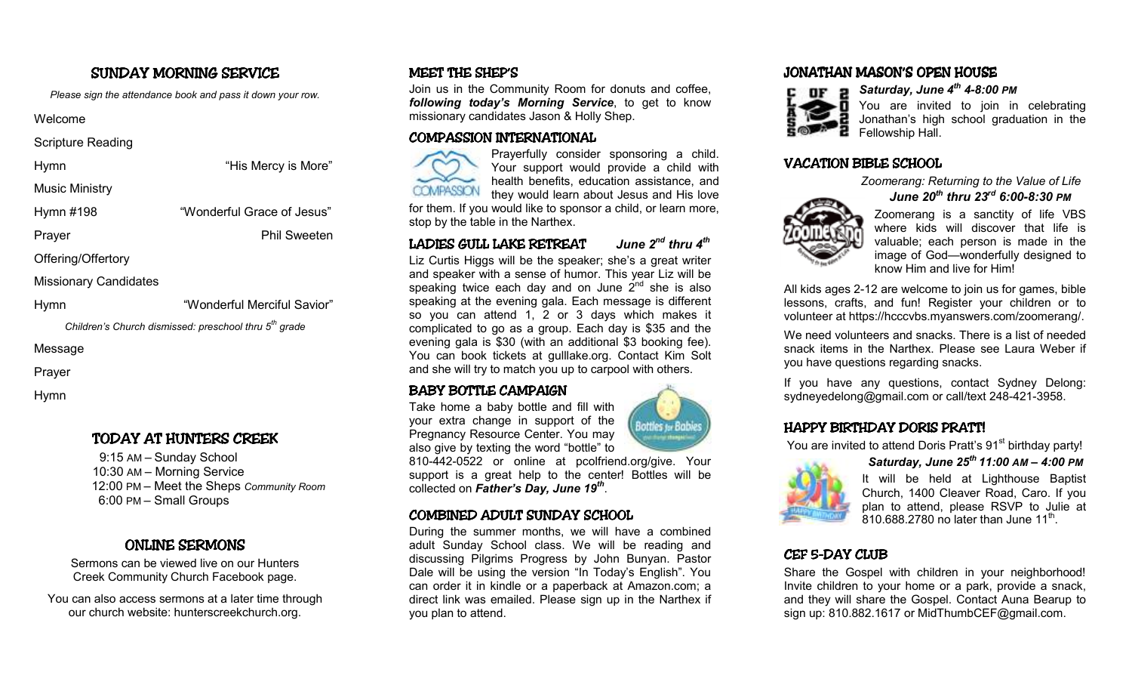# SUNDAY MORNING SERVICE

*Please sign the attendance book and pass it down your row.* 

#### Welcome

Scripture Reading

| Hymn |
|------|
|------|

Music Ministry

Hymn #198 "Wonderful Grace of Jesus"

Prayer Prayer Phil Sweeten

"His Mercy is More"

Offering/Offertory

Missionary Candidates

Hymn "Wonderful Merciful Savior"

*Children's Church dismissed: preschool thru 5th grade* 

Message

Prayer

Hymn

### TODAY AT HUNTERS CREEK

9:15 AM – Sunday School 10:30 AM – Morning Service 12:00 PM – Meet the Sheps *Community Room* 6:00 PM – Small Groups

### ONLINE SERMONS

 Sermons can be viewed live on our Hunters Creek Community Church Facebook page.

You can also access sermons at a later time throughour church website: hunterscreekchurch.org.

# MEET THE SHEP'S

Join us in the Community Room for donuts and coffee, *following today's Morning Service*, to get to know missionary candidates Jason & Holly Shep.

### COMPASSION INTERNATIONAL COMPASSION INTERNATIONAL



Prayerfully consider sponsoring a child. Your support would provide a child with health benefits, education assistance, and they would learn about Jesus and His love

 for them. If you would like to sponsor a child, or learn more, stop by the table in the Narthex.

## LADIES GULL LAKE RETREAT LADIES GULL *June 2nd thru 4th*

Liz Curtis Higgs will be the speaker; she's a great writer and speaker with a sense of humor. This year Liz will be speaking twice each day and on June  $2^{nd}$  she is also speaking at the evening gala. Each message is different so you can attend 1, 2 or 3 days which makes it complicated to go as a group. Each day is \$35 and the evening gala is \$30 (with an additional \$3 booking fee). You can book tickets at gulllake.org. Contact Kim Solt and she will try to match you up to carpool with others.

### BABY BOTTLE CAMPAIGN

 Take home a baby bottle and fill with your extra change in support of the Pregnancy Resource Center. You may also give by texting the word "bottle" to

 810-442-0522 or online at pcolfriend.org/give. Your support is a great help to the center! Bottles will be collected on *Father's Day, June 19th*.

### COMBINED ADULT SUNDAY SCHOOL

During the summer months, we will have a combined adult Sunday School class. We will be reading and discussing Pilgrims Progress by John Bunyan. Pastor Dale will be using the version "In Today's English". You can order it in kindle or a paperback at Amazon.com; a direct link was emailed. Please sign up in the Narthex if you plan to attend.

# JONATHAN MASON'S OPEN HOUSE



*Saturday, June 4th 4-8:00 PM* 

 $\blacksquare$  You are invited to join in celebrating Jonathan's high school graduation in the Fellowship Hall.

## VACATION BIBLE SCHOOL

  *Zoomerang: Returning to the Value of Life June 20th thru 23rd 6:00-8:30 PM* 



Zoomerang is a sanctity of life VBS where kids will discover that life is valuable; each person is made in the image of God—wonderfully designed to know Him and live for Him!

All kids ages 2-12 are welcome to join us for games, bible lessons, crafts, and fun! Register your children or to volunteer at https://hcccvbs.myanswers.com/zoomerang/.

We need volunteers and snacks. There is a list of needed snack items in the Narthex. Please see Laura Weber if you have questions regarding snacks.

If you have any questions, contact Sydney Delong: sydneyedelong@gmail.com or call/text 248-421-3958.

#### HAPPY BIRTHDAY DORIS PRATT!

You are invited to attend Doris Pratt's 91<sup>st</sup> birthday party!



 *Saturday, June 25th 11:00 AM – 4:00 PM* It will be held at Lighthouse Baptist Church, 1400 Cleaver Road, Caro. If you plan to attend, please RSVP to Julie at 810.688.2780 no later than June  $11^{th}$ .

### CEF 5-DAY CLUB

Share the Gospel with children in your neighborhood! Invite children to your home or a park, provide a snack, and they will share the Gospel. Contact Auna Bearup to sign up: 810.882.1617 or MidThumbCEF@gmail.com.